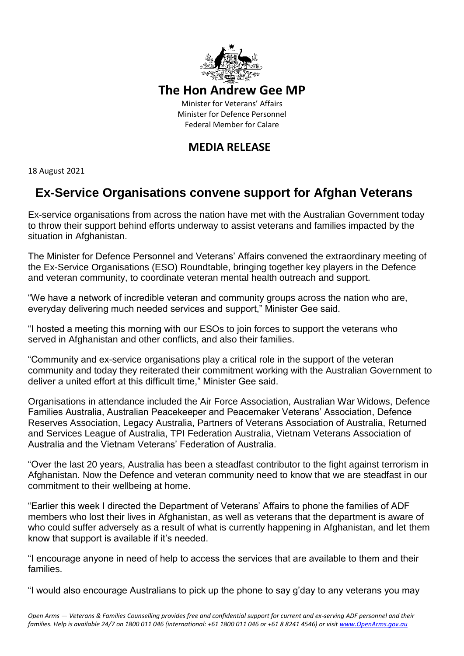

## **The Hon Andrew Gee MP**

Minister for Veterans' Affairs Minister for Defence Personnel Federal Member for Calare

## **MEDIA RELEASE**

18 August 2021

# **Ex-Service Organisations convene support for Afghan Veterans**

Ex-service organisations from across the nation have met with the Australian Government today to throw their support behind efforts underway to assist veterans and families impacted by the situation in Afghanistan.

The Minister for Defence Personnel and Veterans' Affairs convened the extraordinary meeting of the Ex-Service Organisations (ESO) Roundtable, bringing together key players in the Defence and veteran community, to coordinate veteran mental health outreach and support.

"We have a network of incredible veteran and community groups across the nation who are, everyday delivering much needed services and support," Minister Gee said.

"I hosted a meeting this morning with our ESOs to join forces to support the veterans who served in Afghanistan and other conflicts, and also their families.

"Community and ex-service organisations play a critical role in the support of the veteran community and today they reiterated their commitment working with the Australian Government to deliver a united effort at this difficult time," Minister Gee said.

Organisations in attendance included the Air Force Association, Australian War Widows, Defence Families Australia, Australian Peacekeeper and Peacemaker Veterans' Association, Defence Reserves Association, Legacy Australia, Partners of Veterans Association of Australia, Returned and Services League of Australia, TPI Federation Australia, Vietnam Veterans Association of Australia and the Vietnam Veterans' Federation of Australia.

"Over the last 20 years, Australia has been a steadfast contributor to the fight against terrorism in Afghanistan. Now the Defence and veteran community need to know that we are steadfast in our commitment to their wellbeing at home.

"Earlier this week I directed the Department of Veterans' Affairs to phone the families of ADF members who lost their lives in Afghanistan, as well as veterans that the department is aware of who could suffer adversely as a result of what is currently happening in Afghanistan, and let them know that support is available if it's needed.

"I encourage anyone in need of help to access the services that are available to them and their families.

"I would also encourage Australians to pick up the phone to say g'day to any veterans you may